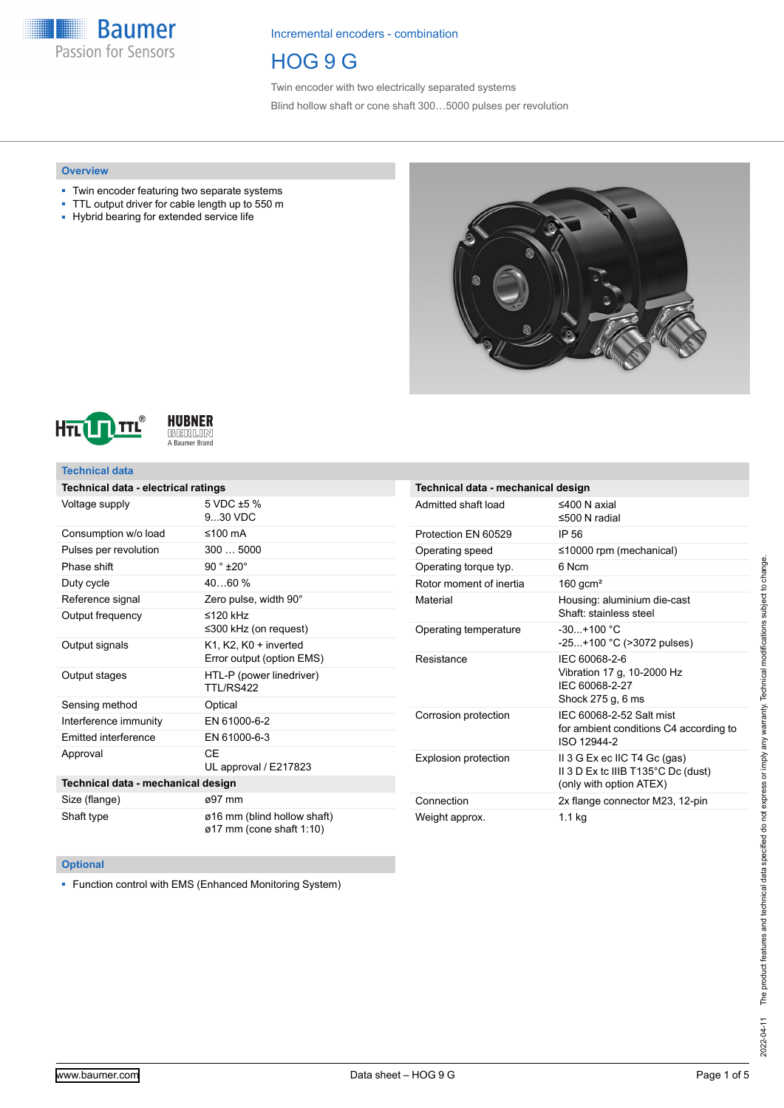**Baumer** Passion for Sensors

Incremental encoders - combination

HOG 9 G

Twin encoder with two electrically separated systems Blind hollow shaft or cone shaft 300…5000 pulses per revolution

### **Overview**

- Twin encoder featuring two separate systems
- TTL output driver for cable length up to 550 m
- Hybrid bearing for extended service life







### **Technical data**

| Technical data - electrical ratings |                                                         |  |  |  |
|-------------------------------------|---------------------------------------------------------|--|--|--|
| Voltage supply                      | 5 VDC $\pm$ 5 %<br>9.30 VDC                             |  |  |  |
| Consumption w/o load                | ≤100 $mA$                                               |  |  |  |
| Pulses per revolution               | 3005000                                                 |  |  |  |
| Phase shift                         | $90°$ ±20°                                              |  |  |  |
| Duty cycle                          | 4060%                                                   |  |  |  |
| Reference signal                    | Zero pulse, width 90°                                   |  |  |  |
| Output frequency                    | $≤120$ kHz<br>$\leq$ 300 kHz (on request)               |  |  |  |
| Output signals                      | K1, K2, K0 + inverted<br>Error output (option EMS)      |  |  |  |
| Output stages                       | HTL-P (power linedriver)<br>TTL/RS422                   |  |  |  |
| Sensing method                      | Optical                                                 |  |  |  |
| Interference immunity               | EN 61000-6-2                                            |  |  |  |
| <b>Emitted interference</b>         | EN 61000-6-3                                            |  |  |  |
| Approval                            | CF<br>UL approval / E217823                             |  |  |  |
| Technical data - mechanical design  |                                                         |  |  |  |
| Size (flange)                       | ø97 mm                                                  |  |  |  |
| Shaft type                          | ø16 mm (blind hollow shaft)<br>ø17 mm (cone shaft 1:10) |  |  |  |

| Technical data - mechanical design |                                                                                               |  |  |  |
|------------------------------------|-----------------------------------------------------------------------------------------------|--|--|--|
| Admitted shaft load                | ≤400 N axial<br>≤500 N radial                                                                 |  |  |  |
| Protection EN 60529                | IP 56                                                                                         |  |  |  |
| Operating speed                    | $\leq$ 10000 rpm (mechanical)                                                                 |  |  |  |
| Operating torque typ.              | 6 Ncm                                                                                         |  |  |  |
| Rotor moment of inertia            | 160 gcm <sup>2</sup>                                                                          |  |  |  |
| Material                           | Housing: aluminium die-cast<br>Shaft: stainless steel                                         |  |  |  |
| Operating temperature              | $-30 + 100 °C$<br>-25+100 °C (>3072 pulses)                                                   |  |  |  |
| Resistance                         | IFC 60068-2-6<br>Vibration 17 g, 10-2000 Hz<br>IFC 60068-2-27<br>Shock 275 g, 6 ms            |  |  |  |
| Corrosion protection               | IEC 60068-2-52 Salt mist<br>for ambient conditions C4 according to<br>ISO 12944-2             |  |  |  |
| Explosion protection               | II 3 G Ex ec IIC T4 Gc (gas)<br>II 3 D Ex to IIIB T135°C Dc (dust)<br>(only with option ATEX) |  |  |  |
| Connection                         | 2x flange connector M23, 12-pin                                                               |  |  |  |
| Weight approx.                     | $1.1$ kg                                                                                      |  |  |  |

### **Optional**

■ Function control with EMS (Enhanced Monitoring System)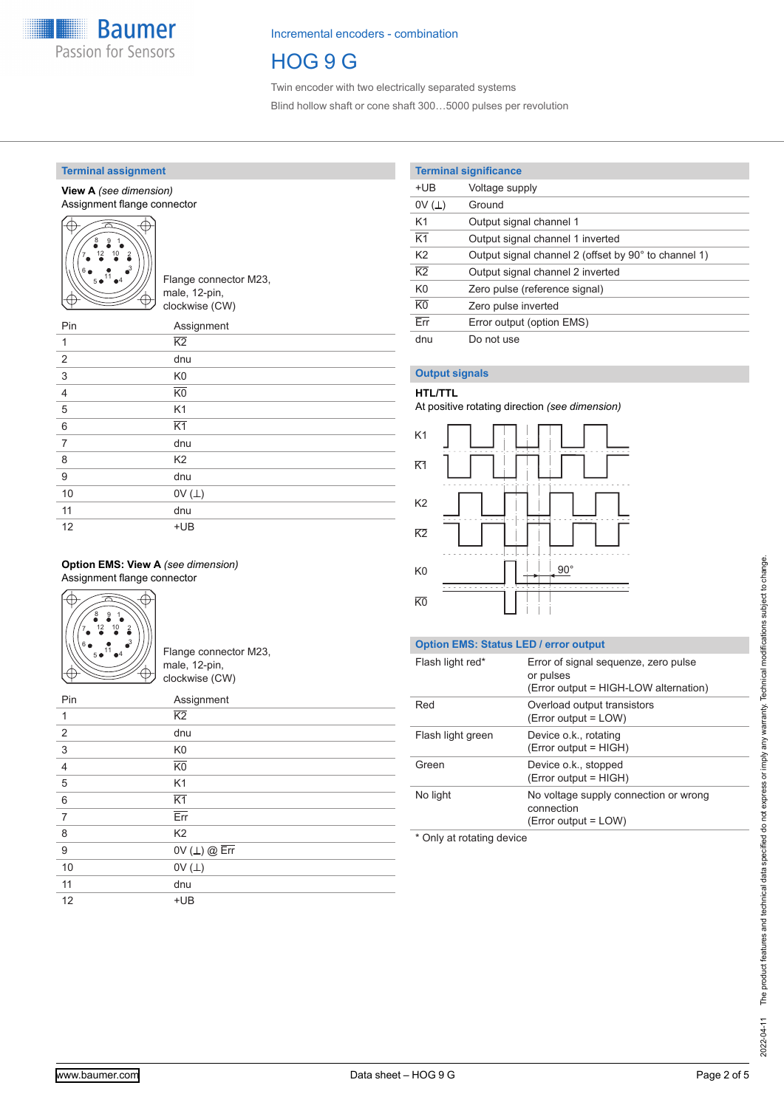

# HOG 9 G

Twin encoder with two electrically separated systems Blind hollow shaft or cone shaft 300…5000 pulses per revolution

### **Terminal assignment**

#### **View A** *(see dimension)* Assignment flange connector



| ///   Flange connector M23, |
|-----------------------------|
| $\lambda$ male, 12-pin,     |
| clockwise (CW)              |

| Assignment      |
|-----------------|
| $\overline{K2}$ |
| dnu             |
| K <sub>0</sub>  |
| K <sub>0</sub>  |
| K <sub>1</sub>  |
| $\overline{K1}$ |
| dnu             |
| K <sub>2</sub>  |
| dnu             |
| OV $(\perp)$    |
| dnu             |
| $+UB$           |
|                 |

#### **Option EMS: View A** *(see dimension)* Assignment flange connector



Flange connector M23, male, 12-pin, clockwise (CW)

| Pin            | Assignment              |
|----------------|-------------------------|
| 1              | $\overline{K2}$         |
| $\overline{2}$ | dnu                     |
| $\mathsf 3$    | K <sub>0</sub>          |
| $\overline{4}$ | $\overline{KO}$         |
| 5              | K <sub>1</sub>          |
| 6              | $\overline{K1}$         |
| 7              | $\overline{\text{Err}}$ |
| 8              | K <sub>2</sub>          |
| 9              | OV $(L)$ @ $Err$        |
| 10             | OV $($ $\perp)$         |
| 11             | dnu                     |
| 12             | $+UB$                   |

# **Terminal significance**

| $+UB$                   | Voltage supply                                       |
|-------------------------|------------------------------------------------------|
| 0V(L)                   | Ground                                               |
| K <sub>1</sub>          | Output signal channel 1                              |
| $\overline{K1}$         | Output signal channel 1 inverted                     |
| K <sub>2</sub>          | Output signal channel 2 (offset by 90° to channel 1) |
| $\overline{K2}$         | Output signal channel 2 inverted                     |
| K <sub>0</sub>          | Zero pulse (reference signal)                        |
| $\overline{KO}$         | Zero pulse inverted                                  |
| $\overline{\text{Err}}$ | Error output (option EMS)                            |
| dnu                     | Do not use                                           |

# **Output signals**

## **HTL/TTL**

At positive rotating direction *(see dimension)*



## **Option EMS: Status LED / error output**

| Flash light red*  | Error of signal sequenze, zero pulse<br>or pulses<br>(Error output = HIGH-LOW alternation) |
|-------------------|--------------------------------------------------------------------------------------------|
| Red               | Overload output transistors<br>(Error output = LOW)                                        |
| Flash light green | Device o.k., rotating<br>(Error output = HIGH)                                             |
| Green             | Device o.k., stopped<br>(Error output = HIGH)                                              |
| No light          | No voltage supply connection or wrong<br>connection<br>(Error output = LOW)                |
|                   |                                                                                            |

\* Only at rotating device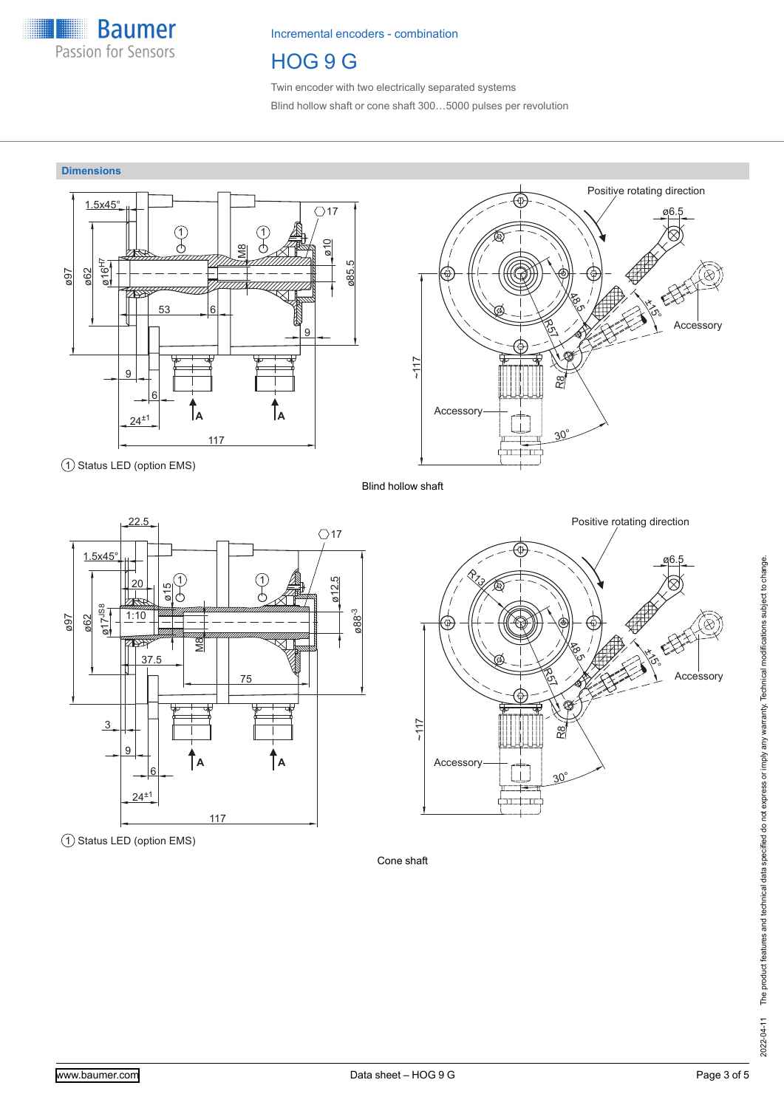

# HOG 9 G

Twin encoder with two electrically separated systems Blind hollow shaft or cone shaft 300…5000 pulses per revolution

# **Dimensions**







1 Status LED (option EMS)



Cone shaft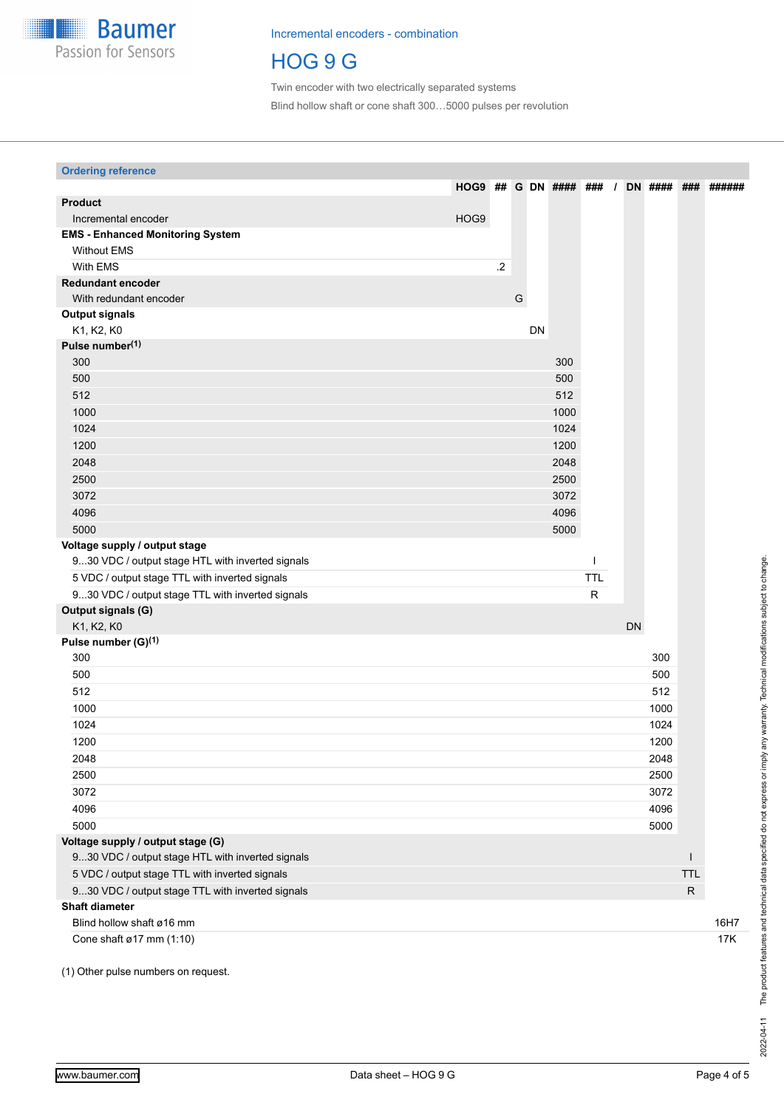

# HOG 9 G

Twin encoder with two electrically separated systems Blind hollow shaft or cone shaft 300…5000 pulses per revolution

| <b>Ordering reference</b>                        |      |         |           |                          |            |    |                |            |        |
|--------------------------------------------------|------|---------|-----------|--------------------------|------------|----|----------------|------------|--------|
|                                                  |      |         |           | <b>HOG9 ## G DN ####</b> | ###        |    | <b>DN</b> #### | ###        | ###### |
| <b>Product</b>                                   |      |         |           |                          |            |    |                |            |        |
| Incremental encoder                              | HOG9 |         |           |                          |            |    |                |            |        |
| <b>EMS - Enhanced Monitoring System</b>          |      |         |           |                          |            |    |                |            |        |
| <b>Without EMS</b>                               |      |         |           |                          |            |    |                |            |        |
| With EMS                                         |      | $\cdot$ |           |                          |            |    |                |            |        |
| <b>Redundant encoder</b>                         |      |         |           |                          |            |    |                |            |        |
| With redundant encoder                           |      |         | G         |                          |            |    |                |            |        |
| <b>Output signals</b>                            |      |         |           |                          |            |    |                |            |        |
| K1, K2, K0                                       |      |         | <b>DN</b> |                          |            |    |                |            |        |
| Pulse number(1)                                  |      |         |           |                          |            |    |                |            |        |
| 300                                              |      |         |           | 300                      |            |    |                |            |        |
| 500                                              |      |         |           | 500                      |            |    |                |            |        |
| 512                                              |      |         |           | 512                      |            |    |                |            |        |
| 1000                                             |      |         |           | 1000                     |            |    |                |            |        |
| 1024                                             |      |         |           | 1024                     |            |    |                |            |        |
| 1200                                             |      |         |           | 1200                     |            |    |                |            |        |
| 2048                                             |      |         |           | 2048                     |            |    |                |            |        |
| 2500                                             |      |         |           | 2500                     |            |    |                |            |        |
| 3072                                             |      |         |           | 3072                     |            |    |                |            |        |
|                                                  |      |         |           |                          |            |    |                |            |        |
| 4096                                             |      |         |           | 4096                     |            |    |                |            |        |
| 5000                                             |      |         |           | 5000                     |            |    |                |            |        |
| Voltage supply / output stage                    |      |         |           |                          | ı          |    |                |            |        |
| 930 VDC / output stage HTL with inverted signals |      |         |           |                          |            |    |                |            |        |
| 5 VDC / output stage TTL with inverted signals   |      |         |           |                          | <b>TTL</b> |    |                |            |        |
| 930 VDC / output stage TTL with inverted signals |      |         |           |                          | ${\sf R}$  |    |                |            |        |
| Output signals (G)                               |      |         |           |                          |            |    |                |            |        |
| K1, K2, K0                                       |      |         |           |                          |            | DN |                |            |        |
| Pulse number (G) <sup>(1)</sup>                  |      |         |           |                          |            |    |                |            |        |
| 300                                              |      |         |           |                          |            |    | 300            |            |        |
| 500                                              |      |         |           |                          |            |    | 500            |            |        |
| 512                                              |      |         |           |                          |            |    | 512            |            |        |
| 1000                                             |      |         |           |                          |            |    | 1000           |            |        |
| 1024                                             |      |         |           |                          |            |    | 1024           |            |        |
| 1200                                             |      |         |           |                          |            |    | 1200           |            |        |
| 2048                                             |      |         |           |                          |            |    | 2048           |            |        |
| 2500                                             |      |         |           |                          |            |    | 2500           |            |        |
| 3072                                             |      |         |           |                          |            |    | 3072           |            |        |
| 4096                                             |      |         |           |                          |            |    | 4096           |            |        |
| 5000                                             |      |         |           |                          |            |    | 5000           |            |        |
| Voltage supply / output stage (G)                |      |         |           |                          |            |    |                |            |        |
| 930 VDC / output stage HTL with inverted signals |      |         |           |                          |            |    |                |            |        |
| 5 VDC / output stage TTL with inverted signals   |      |         |           |                          |            |    |                | <b>TTL</b> |        |
| 930 VDC / output stage TTL with inverted signals |      |         |           |                          |            |    |                | ${\sf R}$  |        |
| <b>Shaft diameter</b>                            |      |         |           |                          |            |    |                |            |        |
| Blind hollow shaft ø16 mm                        |      |         |           |                          |            |    |                |            | 16H7   |
| Cone shaft ø17 mm (1:10)                         |      |         |           |                          |            |    |                |            | 17K    |
|                                                  |      |         |           |                          |            |    |                |            |        |

(1) Other pulse numbers on request.